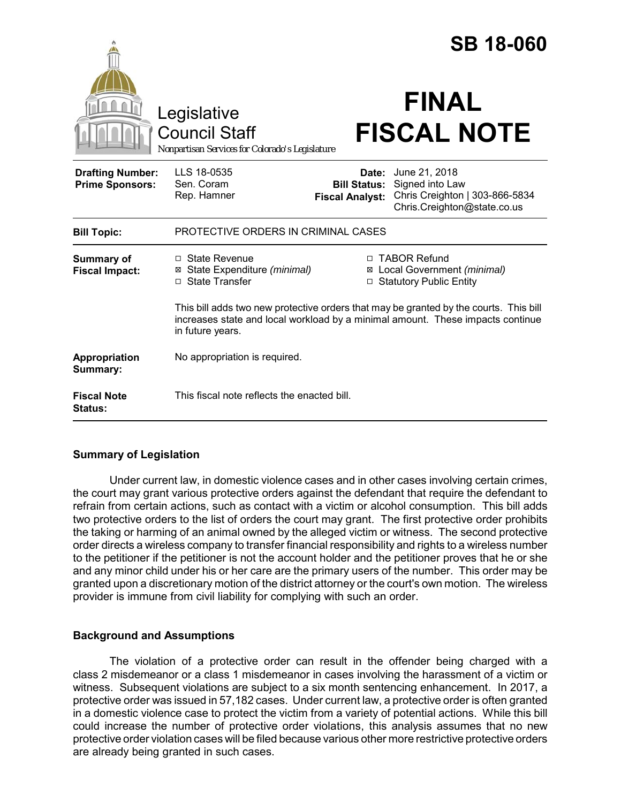|                                                   |                                                                                                                                                                                             |                                                                                       |                                  | <b>SB 18-060</b>                                              |
|---------------------------------------------------|---------------------------------------------------------------------------------------------------------------------------------------------------------------------------------------------|---------------------------------------------------------------------------------------|----------------------------------|---------------------------------------------------------------|
|                                                   | Legislative<br><b>Council Staff</b><br>Nonpartisan Services for Colorado's Legislature                                                                                                      |                                                                                       | <b>FINAL</b>                     | <b>FISCAL NOTE</b>                                            |
| <b>Drafting Number:</b><br><b>Prime Sponsors:</b> | LLS 18-0535<br>Sen. Coram<br>Rep. Hamner                                                                                                                                                    | Date:<br><b>Bill Status:</b><br><b>Fiscal Analyst:</b>                                | June 21, 2018<br>Signed into Law | Chris Creighton   303-866-5834<br>Chris.Creighton@state.co.us |
| <b>Bill Topic:</b>                                | PROTECTIVE ORDERS IN CRIMINAL CASES                                                                                                                                                         |                                                                                       |                                  |                                                               |
| <b>Summary of</b><br><b>Fiscal Impact:</b>        | $\Box$ State Revenue<br>State Expenditure (minimal)<br>⊠<br>□ State Transfer                                                                                                                | □ TABOR Refund<br>⊠ Local Government (minimal)<br><b>Statutory Public Entity</b><br>□ |                                  |                                                               |
|                                                   | This bill adds two new protective orders that may be granted by the courts. This bill<br>increases state and local workload by a minimal amount. These impacts continue<br>in future years. |                                                                                       |                                  |                                                               |
| Appropriation<br>Summary:                         | No appropriation is required.                                                                                                                                                               |                                                                                       |                                  |                                                               |
| <b>Fiscal Note</b><br><b>Status:</b>              | This fiscal note reflects the enacted bill.                                                                                                                                                 |                                                                                       |                                  |                                                               |

# **Summary of Legislation**

Under current law, in domestic violence cases and in other cases involving certain crimes, the court may grant various protective orders against the defendant that require the defendant to refrain from certain actions, such as contact with a victim or alcohol consumption. This bill adds two protective orders to the list of orders the court may grant. The first protective order prohibits the taking or harming of an animal owned by the alleged victim or witness. The second protective order directs a wireless company to transfer financial responsibility and rights to a wireless number to the petitioner if the petitioner is not the account holder and the petitioner proves that he or she and any minor child under his or her care are the primary users of the number. This order may be granted upon a discretionary motion of the district attorney or the court's own motion. The wireless provider is immune from civil liability for complying with such an order.

## **Background and Assumptions**

The violation of a protective order can result in the offender being charged with a class 2 misdemeanor or a class 1 misdemeanor in cases involving the harassment of a victim or witness. Subsequent violations are subject to a six month sentencing enhancement. In 2017, a protective order was issued in 57,182 cases. Under current law, a protective order is often granted in a domestic violence case to protect the victim from a variety of potential actions. While this bill could increase the number of protective order violations, this analysis assumes that no new protective order violation cases will be filed because various other more restrictive protective orders are already being granted in such cases.